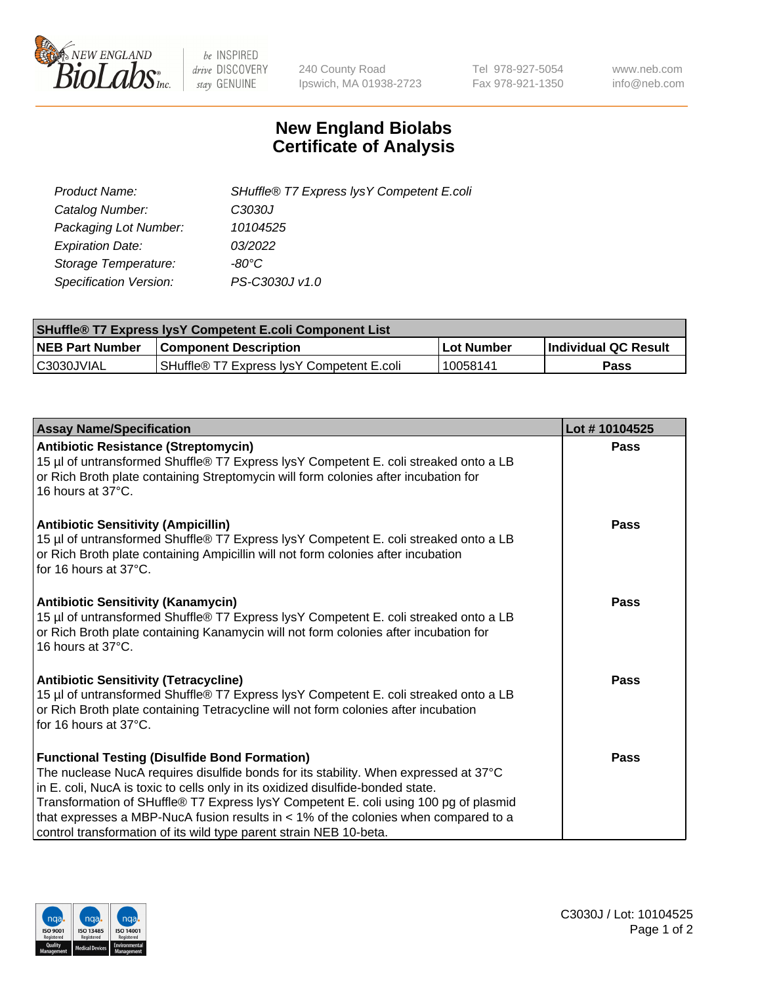

 $be$  INSPIRED drive DISCOVERY stay GENUINE

240 County Road Ipswich, MA 01938-2723 Tel 978-927-5054 Fax 978-921-1350 www.neb.com info@neb.com

## **New England Biolabs Certificate of Analysis**

| Product Name:           | SHuffle® T7 Express lysY Competent E.coli |
|-------------------------|-------------------------------------------|
| Catalog Number:         | C3030J                                    |
| Packaging Lot Number:   | 10104525                                  |
| <b>Expiration Date:</b> | 03/2022                                   |
| Storage Temperature:    | -80°C                                     |
| Specification Version:  | PS-C3030J v1.0                            |

| <b>SHuffle® T7 Express lysY Competent E.coli Component List</b> |                                           |                   |                             |  |
|-----------------------------------------------------------------|-------------------------------------------|-------------------|-----------------------------|--|
| <b>NEB Part Number</b>                                          | <b>Component Description</b>              | <b>Lot Number</b> | <b>Individual QC Result</b> |  |
| C3030JVIAL                                                      | SHuffle® T7 Express IysY Competent E.coli | 10058141          | Pass                        |  |

| <b>Assay Name/Specification</b>                                                                                                                                                                                                                                                                                                                                                                                                                                                        | Lot #10104525 |
|----------------------------------------------------------------------------------------------------------------------------------------------------------------------------------------------------------------------------------------------------------------------------------------------------------------------------------------------------------------------------------------------------------------------------------------------------------------------------------------|---------------|
| <b>Antibiotic Resistance (Streptomycin)</b><br>15 µl of untransformed Shuffle® T7 Express lysY Competent E. coli streaked onto a LB<br>or Rich Broth plate containing Streptomycin will form colonies after incubation for<br>16 hours at 37°C.                                                                                                                                                                                                                                        | <b>Pass</b>   |
| <b>Antibiotic Sensitivity (Ampicillin)</b><br>15 µl of untransformed Shuffle® T7 Express lysY Competent E. coli streaked onto a LB<br>or Rich Broth plate containing Ampicillin will not form colonies after incubation<br>for 16 hours at 37°C.                                                                                                                                                                                                                                       | Pass          |
| <b>Antibiotic Sensitivity (Kanamycin)</b><br>15 µl of untransformed Shuffle® T7 Express lysY Competent E. coli streaked onto a LB<br>or Rich Broth plate containing Kanamycin will not form colonies after incubation for<br>16 hours at 37°C.                                                                                                                                                                                                                                         | Pass          |
| <b>Antibiotic Sensitivity (Tetracycline)</b><br>15 µl of untransformed Shuffle® T7 Express lysY Competent E. coli streaked onto a LB<br>or Rich Broth plate containing Tetracycline will not form colonies after incubation<br>for 16 hours at 37°C.                                                                                                                                                                                                                                   | Pass          |
| <b>Functional Testing (Disulfide Bond Formation)</b><br>The nuclease NucA requires disulfide bonds for its stability. When expressed at 37°C<br>in E. coli, NucA is toxic to cells only in its oxidized disulfide-bonded state.<br>Transformation of SHuffle® T7 Express lysY Competent E. coli using 100 pg of plasmid<br>that expresses a MBP-NucA fusion results in $<$ 1% of the colonies when compared to a<br>control transformation of its wild type parent strain NEB 10-beta. | <b>Pass</b>   |